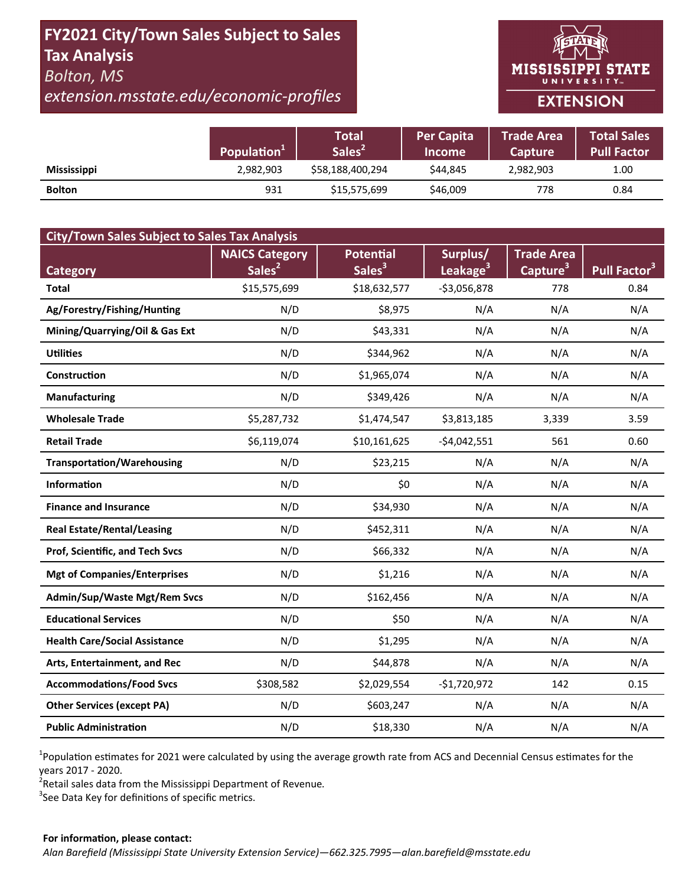# **FY2021 City/Town Sales Subject to Sales Tax Analysis**  *Bolton, MS*

# *extension.msstate.edu/economic‐profiles*



|                    | Population <sup>1</sup> | Total<br>'Sales <sup>2</sup> | <b>Per Capita</b><br><b>Income</b> | <b>Trade Area</b><br><b>Capture</b> | <b>Total Sales</b><br>Pull Factor |
|--------------------|-------------------------|------------------------------|------------------------------------|-------------------------------------|-----------------------------------|
| <b>Mississippi</b> | 2,982,903               | \$58,188,400,294             | \$44.845                           | 2,982,903                           | 1.00                              |
| <b>Bolton</b>      | 931                     | \$15,575,699                 | \$46,009                           | 778                                 | 0.84                              |

| <b>City/Town Sales Subject to Sales Tax Analysis</b> |                       |                    |                      |                      |                          |  |  |  |  |
|------------------------------------------------------|-----------------------|--------------------|----------------------|----------------------|--------------------------|--|--|--|--|
|                                                      | <b>NAICS Category</b> | <b>Potential</b>   | Surplus/             | <b>Trade Area</b>    |                          |  |  |  |  |
| <b>Category</b>                                      | Sales <sup>2</sup>    | Sales <sup>3</sup> | Leakage <sup>3</sup> | Capture <sup>3</sup> | Pull Factor <sup>3</sup> |  |  |  |  |
| <b>Total</b>                                         | \$15,575,699          | \$18,632,577       | $-53,056,878$        | 778                  | 0.84                     |  |  |  |  |
| Ag/Forestry/Fishing/Hunting                          | N/D                   | \$8,975            | N/A                  | N/A                  | N/A                      |  |  |  |  |
| Mining/Quarrying/Oil & Gas Ext                       | N/D                   | \$43,331           | N/A                  | N/A                  | N/A                      |  |  |  |  |
| <b>Utilities</b>                                     | N/D                   | \$344,962          | N/A                  | N/A                  | N/A                      |  |  |  |  |
| Construction                                         | N/D                   | \$1,965,074        | N/A                  | N/A                  | N/A                      |  |  |  |  |
| <b>Manufacturing</b>                                 | N/D                   | \$349,426          | N/A                  | N/A                  | N/A                      |  |  |  |  |
| <b>Wholesale Trade</b>                               | \$5,287,732           | \$1,474,547        | \$3,813,185          | 3,339                | 3.59                     |  |  |  |  |
| <b>Retail Trade</b>                                  | \$6,119,074           | \$10,161,625       | $-$4,042,551$        | 561                  | 0.60                     |  |  |  |  |
| <b>Transportation/Warehousing</b>                    | N/D                   | \$23,215           | N/A                  | N/A                  | N/A                      |  |  |  |  |
| <b>Information</b>                                   | N/D                   | \$0                | N/A                  | N/A                  | N/A                      |  |  |  |  |
| <b>Finance and Insurance</b>                         | N/D                   | \$34,930           | N/A                  | N/A                  | N/A                      |  |  |  |  |
| <b>Real Estate/Rental/Leasing</b>                    | N/D                   | \$452,311          | N/A                  | N/A                  | N/A                      |  |  |  |  |
| Prof, Scientific, and Tech Svcs                      | N/D                   | \$66,332           | N/A                  | N/A                  | N/A                      |  |  |  |  |
| <b>Mgt of Companies/Enterprises</b>                  | N/D                   | \$1,216            | N/A                  | N/A                  | N/A                      |  |  |  |  |
| <b>Admin/Sup/Waste Mgt/Rem Svcs</b>                  | N/D                   | \$162,456          | N/A                  | N/A                  | N/A                      |  |  |  |  |
| <b>Educational Services</b>                          | N/D                   | \$50               | N/A                  | N/A                  | N/A                      |  |  |  |  |
| <b>Health Care/Social Assistance</b>                 | N/D                   | \$1,295            | N/A                  | N/A                  | N/A                      |  |  |  |  |
| Arts, Entertainment, and Rec                         | N/D                   | \$44,878           | N/A                  | N/A                  | N/A                      |  |  |  |  |
| <b>Accommodations/Food Svcs</b>                      | \$308,582             | \$2,029,554        | $-$1,720,972$        | 142                  | 0.15                     |  |  |  |  |
| <b>Other Services (except PA)</b>                    | N/D                   | \$603,247          | N/A                  | N/A                  | N/A                      |  |  |  |  |
| <b>Public Administration</b>                         | N/D                   | \$18,330           | N/A                  | N/A                  | N/A                      |  |  |  |  |

<sup>1</sup>Population estimates for 2021 were calculated by using the average growth rate from ACS and Decennial Census estimates for the years 2017 ‐ 2020.

2 Retail sales data from the Mississippi Department of Revenue*.* 

 $3$ See Data Key for definitions of specific metrics.

#### **For informaƟon, please contact:**  *Alan Barefield (Mississippi State University Extension Service)—662.325.7995—alan.barefield@msstate.edu*